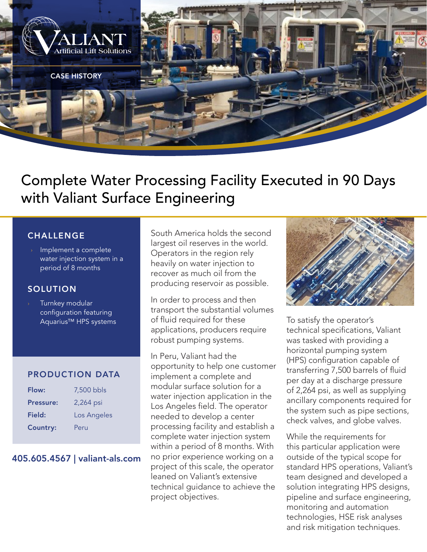

# Complete Water Processing Facility Executed in 90 Days with Valiant Surface Engineering

### CHALLENGE

Implement a complete water injection system in a period of 8 months

## SOLUTION

Turnkey modular configuration featuring Aquarius™ HPS systems

#### PRODUCTION DATA

| Flow:            | 7,500 bbls  |
|------------------|-------------|
| <b>Pressure:</b> | 2,264 psi   |
| Field:           | Los Angeles |
| <b>Country:</b>  | Peru        |

#### 405.605.4567 | valiant-als.com

South America holds the second largest oil reserves in the world. Operators in the region rely heavily on water injection to recover as much oil from the producing reservoir as possible.

In order to process and then transport the substantial volumes of fluid required for these applications, producers require robust pumping systems.

In Peru, Valiant had the opportunity to help one customer implement a complete and modular surface solution for a water injection application in the Los Angeles field. The operator needed to develop a center processing facility and establish a complete water injection system within a period of 8 months. With no prior experience working on a project of this scale, the operator leaned on Valiant's extensive technical guidance to achieve the project objectives.



To satisfy the operator's technical specifications, Valiant was tasked with providing a horizontal pumping system (HPS) configuration capable of transferring 7,500 barrels of fluid per day at a discharge pressure of 2,264 psi, as well as supplying ancillary components required for the system such as pipe sections, check valves, and globe valves.

While the requirements for this particular application were outside of the typical scope for standard HPS operations, Valiant's team designed and developed a solution integrating HPS designs, pipeline and surface engineering, monitoring and automation technologies, HSE risk analyses and risk mitigation techniques.